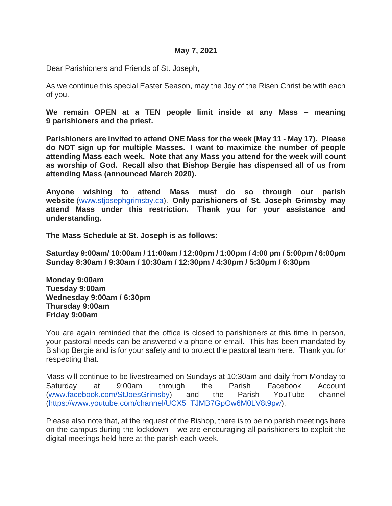Dear Parishioners and Friends of St. Joseph,

As we continue this special Easter Season, may the Joy of the Risen Christ be with each of you.

**We remain OPEN at a TEN people limit inside at any Mass – meaning 9 parishioners and the priest.** 

**Parishioners are invited to attend ONE Mass for the week (May 11 - May 17). Please do NOT sign up for multiple Masses. I want to maximize the number of people attending Mass each week. Note that any Mass you attend for the week will count as worship of God. Recall also that Bishop Bergie has dispensed all of us from attending Mass (announced March 2020).** 

**Anyone wishing to attend Mass must do so through our parish website** [\(www.stjosephgrimsby.ca\)](http://www.stjosephgrimsby.ca/). **Only parishioners of St. Joseph Grimsby may attend Mass under this restriction. Thank you for your assistance and understanding.** 

**The Mass Schedule at St. Joseph is as follows:**

**Saturday 9:00am/ 10:00am / 11:00am / 12:00pm / 1:00pm / 4:00 pm / 5:00pm / 6:00pm Sunday 8:30am / 9:30am / 10:30am / 12:30pm / 4:30pm / 5:30pm / 6:30pm**

**Monday 9:00am Tuesday 9:00am Wednesday 9:00am / 6:30pm Thursday 9:00am Friday 9:00am**

You are again reminded that the office is closed to parishioners at this time in person, your pastoral needs can be answered via phone or email. This has been mandated by Bishop Bergie and is for your safety and to protect the pastoral team here. Thank you for respecting that.

Mass will continue to be livestreamed on Sundays at 10:30am and daily from Monday to Saturday at 9:00am through the Parish Facebook Account [\(www.facebook.com/StJoesGrimsby\)](http://www.facebook.com/StJoesGrimsby) and the Parish YouTube channel [\(https://www.youtube.com/channel/UCX5\\_TJMB7GpOw6M0LV8t9pw\)](https://www.youtube.com/channel/UCX5_TJMB7GpOw6M0LV8t9pw).

Please also note that, at the request of the Bishop, there is to be no parish meetings here on the campus during the lockdown – we are encouraging all parishioners to exploit the digital meetings held here at the parish each week.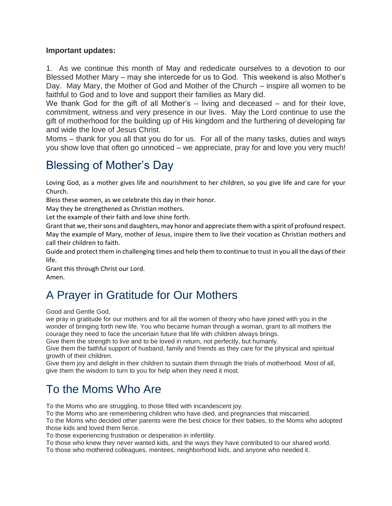#### **Important updates:**

1. As we continue this month of May and rededicate ourselves to a devotion to our Blessed Mother Mary – may she intercede for us to God. This weekend is also Mother's Day. May Mary, the Mother of God and Mother of the Church – inspire all women to be faithful to God and to love and support their families as Mary did.

We thank God for the gift of all Mother's – living and deceased – and for their love, commitment, witness and very presence in our lives. May the Lord continue to use the gift of motherhood for the building up of His kingdom and the furthering of developing far and wide the love of Jesus Christ.

Moms – thank for you all that you do for us. For all of the many tasks, duties and ways you show love that often go unnoticed – we appreciate, pray for and love you very much!

## Blessing of Mother's Day

Loving God, as a mother gives life and nourishment to her children, so you give life and care for your Church.

Bless these women, as we celebrate this day in their honor.

May they be strengthened as Christian mothers.

Let the example of their faith and love shine forth.

Grant that we, their sons and daughters, may honor and appreciate them with a spirit of profound respect. May the example of Mary, mother of Jesus, inspire them to live their vocation as Christian mothers and call their children to faith.

Guide and protect them in challenging times and help them to continue to trust in you all the days of their life.

Grant this through Christ our Lord. Amen.

# A Prayer in Gratitude for Our Mothers

Good and Gentle God,

we pray in gratitude for our mothers and for all the women of theory who have joined with you in the wonder of bringing forth new life. You who became human through a woman, grant to all mothers the courage they need to face the uncertain future that life with children always brings.

Give them the strength to live and to be loved in return, not perfectly, but humanly.

Give them the faithful support of husband, family and friends as they care for the physical and spiritual growth of their children.

Give them joy and delight in their children to sustain them through the trials of motherhood. Most of all, give them the wisdom to turn to you for help when they need it most.

## To the Moms Who Are

To the Moms who are struggling, to those filled with incandescent joy.

To the Moms who are remembering children who have died, and pregnancies that miscarried.

To the Moms who decided other parents were the best choice for their babies, to the Moms who adopted those kids and loved them fierce.

To those experiencing frustration or desperation in infertility.

To those who knew they never wanted kids, and the ways they have contributed to our shared world.

To those who mothered colleagues, mentees, neighborhood kids, and anyone who needed it.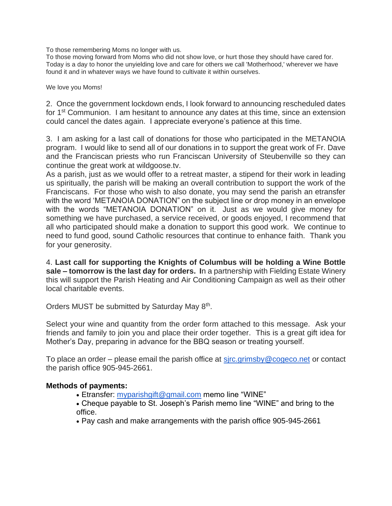To those remembering Moms no longer with us.

To those moving forward from Moms who did not show love, or hurt those they should have cared for. Today is a day to honor the unyielding love and care for others we call 'Motherhood,' wherever we have found it and in whatever ways we have found to cultivate it within ourselves.

We love you Moms!

2. Once the government lockdown ends, I look forward to announcing rescheduled dates for 1<sup>st</sup> Communion. I am hesitant to announce any dates at this time, since an extension could cancel the dates again. I appreciate everyone's patience at this time.

3. I am asking for a last call of donations for those who participated in the METANOIA program. I would like to send all of our donations in to support the great work of Fr. Dave and the Franciscan priests who run Franciscan University of Steubenville so they can continue the great work at wildgoose.tv.

As a parish, just as we would offer to a retreat master, a stipend for their work in leading us spiritually, the parish will be making an overall contribution to support the work of the Franciscans. For those who wish to also donate, you may send the parish an etransfer with the word 'METANOIA DONATION" on the subject line or drop money in an envelope with the words "METANOIA DONATION" on it. Just as we would give money for something we have purchased, a service received, or goods enjoyed, I recommend that all who participated should make a donation to support this good work. We continue to need to fund good, sound Catholic resources that continue to enhance faith. Thank you for your generosity.

4. **Last call for supporting the Knights of Columbus will be holding a Wine Bottle sale – tomorrow is the last day for orders. I**n a partnership with Fielding Estate Winery this will support the Parish Heating and Air Conditioning Campaign as well as their other local charitable events.

Orders MUST be submitted by Saturday May 8<sup>th</sup>.

Select your wine and quantity from the order form attached to this message. Ask your friends and family to join you and place their order together. This is a great gift idea for Mother's Day, preparing in advance for the BBQ season or treating yourself.

To place an order – please email the parish office at [sjrc.grimsby@cogeco.net](mailto:sjrc.grimsby@cogeco.net) or contact the parish office 905-945-2661.

#### **Methods of payments:**

- Etransfer: [myparishgift@gmail.com](mailto:myparishgift@gmail.com) memo line "WINE"
- Cheque payable to St. Joseph's Parish memo line "WINE" and bring to the office.
- Pay cash and make arrangements with the parish office 905-945-2661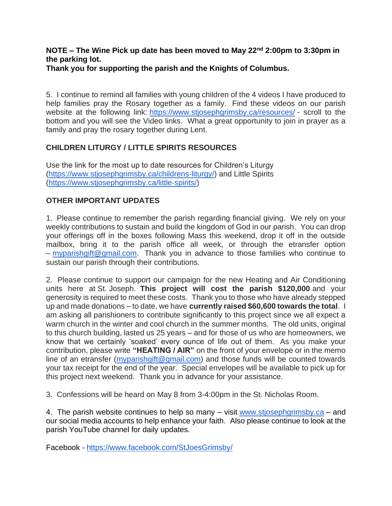## **NOTE – The Wine Pick up date has been moved to May 22nd 2:00pm to 3:30pm in the parking lot.**

**Thank you for supporting the parish and the Knights of Columbus.**

5. I continue to remind all families with young children of the 4 videos I have produced to help families pray the Rosary together as a family. Find these videos on our parish website at the following link: <https://www.stjosephgrimsby.ca/resources/> - scroll to the bottom and you will see the Video links. What a great opportunity to join in prayer as a family and pray the rosary together during Lent.

### **CHILDREN LITURGY / LITTLE SPIRITS RESOURCES**

Use the link for the most up to date resources for Children's Liturgy [\(https://www.stjosephgrimsby.ca/childrens-liturgy/\)](https://www.stjosephgrimsby.ca/childrens-liturgy/) and Little Spirits [\(https://www.stjosephgrimsby.ca/little-spirits/\)](https://www.stjosephgrimsby.ca/little-spirits/)

### **OTHER IMPORTANT UPDATES**

1. Please continue to remember the parish regarding financial giving. We rely on your weekly contributions to sustain and build the kingdom of God in our parish. You can drop your offerings off in the boxes following Mass this weekend, drop it off in the outside mailbox, bring it to the parish office all week, or through the etransfer option – [myparishgift@gmail.com.](mailto:myparishgift@gmail.com) Thank you in advance to those families who continue to sustain our parish through their contributions.

2. Please continue to support our campaign for the new Heating and Air Conditioning units here at St. Joseph. **This project will cost the parish \$120,000** and your generosity is required to meet these costs. Thank you to those who have already stepped up and made donations – to date, we have **currently raised \$60,600 towards the total**. I am asking all parishioners to contribute significantly to this project since we all expect a warm church in the winter and cool church in the summer months. The old units, original to this church building, lasted us 25 years – and for those of us who are homeowners, we know that we certainly 'soaked' every ounce of life out of them. As you make your contribution, please write **"HEATING / AIR"** on the front of your envelope or in the memo line of an etransfer [\(myparishgift@gmail.com\)](mailto:myparishgift@gmail.com) and those funds will be counted towards your tax receipt for the end of the year. Special envelopes will be available to pick up for this project next weekend. Thank you in advance for your assistance.

3. Confessions will be heard on May 8 from 3-4:00pm in the St. Nicholas Room.

4. The parish website continues to help so many – visit [www.stjosephgrimsby.ca](http://www.stjosephgrimsby.ca/) – and our social media accounts to help enhance your faith. Also please continue to look at the parish YouTube channel for daily updates.

Facebook - <https://www.facebook.com/StJoesGrimsby/>